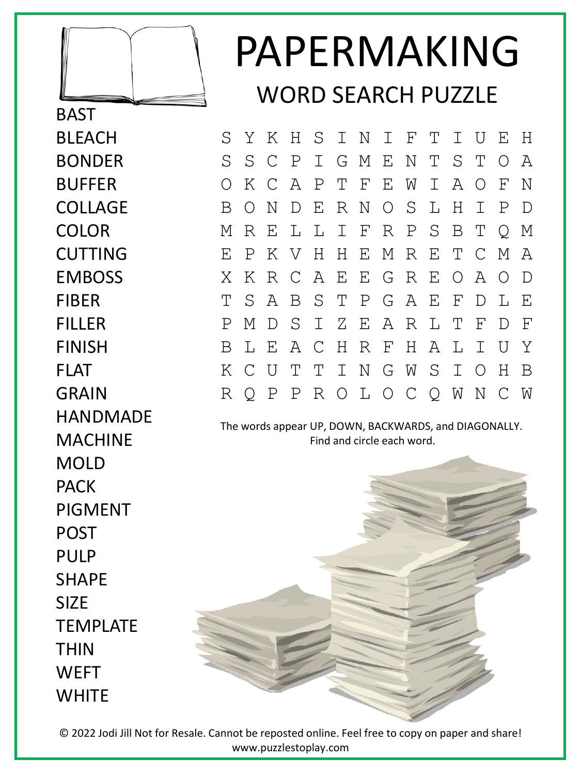

**BAST BLFACH** BONDER BUFFER COLLAGE COLOR CUTTING EMBOSS FIBER FILLER FINISH FLAT GRAIN HANDMADE MACHINE MOLD **PACK** PIGMENT POST PULP SHAPE SIZE TEMPLATE THIN **WEFT WHITE** 

## PAPERMAKING WORD SEARCH PUZZLE

S Y K H S I N I F T I U E H S S C P I G M E N T S T O A O K C A P T F E W I A O F N B O N D E R N O S L H I P D M R E L L I F R P S B T Q M E P K V H H E M R E T C M A X K R C A E E G R E O A O D T S A B S T P G A E F D L E P M D S I Z E A R L T F D F B L E A C H R F H A L I U Y K C U T T I N G W S I O H B R Q P P R O L O C Q W N C W

The words appear UP, DOWN, BACKWARDS, and DIAGONALLY. Find and circle each word.

© 2022 Jodi Jill Not for Resale. Cannot be reposted online. Feel free to copy on paper and share! www.puzzlestoplay.com